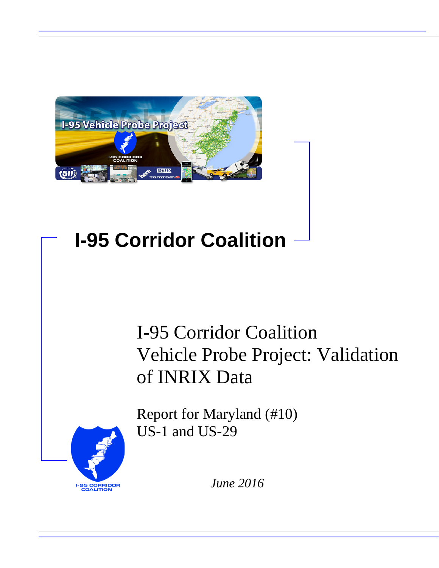

# **I-95 Corridor Coalition**

# I-95 Corridor Coalition Vehicle Probe Project: Validation of INRIX Data

Report for Maryland (#10) US-1 and US-29



*June 2016*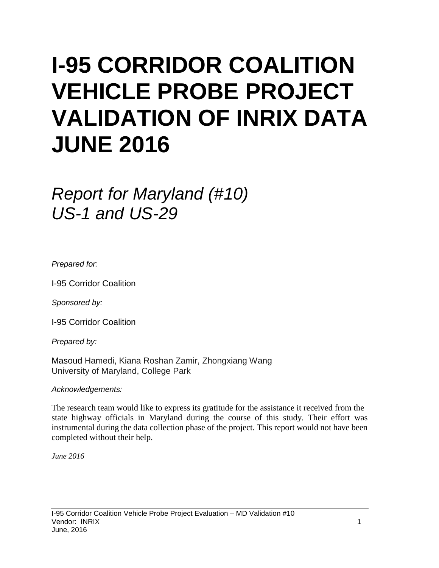# **I-95 CORRIDOR COALITION VEHICLE PROBE PROJECT VALIDATION OF INRIX DATA JUNE 2016**

# *Report for Maryland (#10) US-1 and US-29*

*Prepared for:*

I-95 Corridor Coalition

*Sponsored by:*

I-95 Corridor Coalition

*Prepared by:*

Masoud Hamedi, Kiana Roshan Zamir, Zhongxiang Wang University of Maryland, College Park

*Acknowledgements:*

The research team would like to express its gratitude for the assistance it received from the state highway officials in Maryland during the course of this study. Their effort was instrumental during the data collection phase of the project. This report would not have been completed without their help.

*June 2016*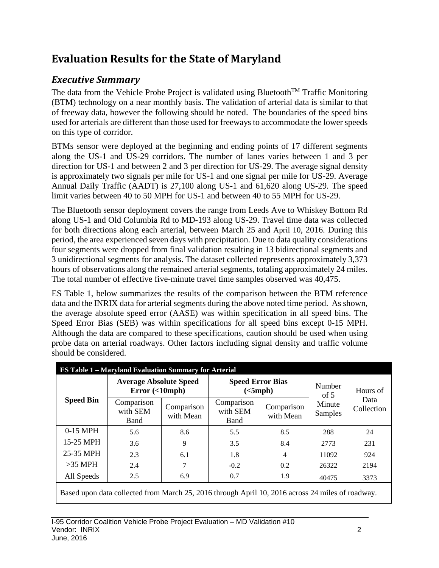# **Evaluation Results for the State of Maryland**

# *Executive Summary*

The data from the Vehicle Probe Project is validated using Bluetooth<sup>TM</sup> Traffic Monitoring (BTM) technology on a near monthly basis. The validation of arterial data is similar to that of freeway data, however the following should be noted. The boundaries of the speed bins used for arterials are different than those used for freeways to accommodate the lower speeds on this type of corridor.

BTMs sensor were deployed at the beginning and ending points of 17 different segments along the US-1 and US-29 corridors. The number of lanes varies between 1 and 3 per direction for US-1 and between 2 and 3 per direction for US-29. The average signal density is approximately two signals per mile for US-1 and one signal per mile for US-29. Average Annual Daily Traffic (AADT) is 27,100 along US-1 and 61,620 along US-29. The speed limit varies between 40 to 50 MPH for US-1 and between 40 to 55 MPH for US-29.

The Bluetooth sensor deployment covers the range from Leeds Ave to Whiskey Bottom Rd along US-1 and Old Columbia Rd to MD-193 along US-29. Travel time data was collected for both directions along each arterial, between March 25 and April 10, 2016. During this period, the area experienced seven days with precipitation. Due to data quality considerations four segments were dropped from final validation resulting in 13 bidirectional segments and 3 unidirectional segments for analysis. The dataset collected represents approximately 3,373 hours of observations along the remained arterial segments, totaling approximately 24 miles. The total number of effective five-minute travel time samples observed was 40,475.

ES Table 1, below summarizes the results of the comparison between the BTM reference data and the INRIX data for arterial segments during the above noted time period. As shown, the average absolute speed error (AASE) was within specification in all speed bins. The Speed Error Bias (SEB) was within specifications for all speed bins except 0-15 MPH. Although the data are compared to these specifications, caution should be used when using probe data on arterial roadways. Other factors including signal density and traffic volume should be considered.

|                                                                                                  | <b>ES Table 1 - Maryland Evaluation Summary for Arterial</b><br><b>Average Absolute Speed</b><br>Error(<10mph) |                         | <b>Speed Error Bias</b><br>(<5 mph) |                         | Number<br>of $5$  | Hours of           |  |
|--------------------------------------------------------------------------------------------------|----------------------------------------------------------------------------------------------------------------|-------------------------|-------------------------------------|-------------------------|-------------------|--------------------|--|
| <b>Speed Bin</b><br>0-15 MPH                                                                     | Comparison<br>with SEM<br>Band                                                                                 | Comparison<br>with Mean | Comparison<br>with SEM<br>Band      | Comparison<br>with Mean | Minute<br>Samples | Data<br>Collection |  |
|                                                                                                  | 5.6                                                                                                            | 8.6                     | 5.5                                 | 8.5                     | 288               | 24                 |  |
| 15-25 MPH                                                                                        | 3.6                                                                                                            | 9                       | 3.5                                 | 8.4                     | 2773              | 231                |  |
| 25-35 MPH                                                                                        | 2.3                                                                                                            | 6.1                     | 1.8                                 | 4                       | 11092             | 924                |  |
| $>35$ MPH                                                                                        | 2.4                                                                                                            |                         | $-0.2$                              | 0.2                     | 26322             | 2194               |  |
| All Speeds                                                                                       | 2.5                                                                                                            | 6.9                     | 0.7                                 | 1.9                     | 40475             | 3373               |  |
| Based upon data collected from March 25, 2016 through April 10, 2016 across 24 miles of roadway. |                                                                                                                |                         |                                     |                         |                   |                    |  |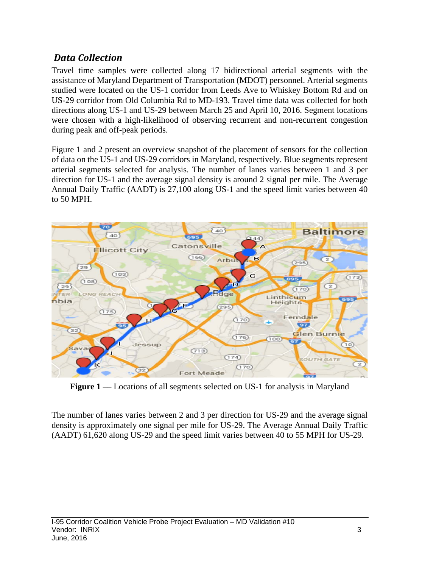# *Data Collection*

Travel time samples were collected along 17 bidirectional arterial segments with the assistance of Maryland Department of Transportation (MDOT) personnel. Arterial segments studied were located on the US-1 corridor from Leeds Ave to Whiskey Bottom Rd and on US-29 corridor from Old Columbia Rd to MD-193. Travel time data was collected for both directions along US-1 and US-29 between March 25 and April 10, 2016. Segment locations were chosen with a high-likelihood of observing recurrent and non-recurrent congestion during peak and off-peak periods.

Figure 1 and 2 present an overview snapshot of the placement of sensors for the collection of data on the US-1 and US-29 corridors in Maryland, respectively. Blue segments represent arterial segments selected for analysis. The number of lanes varies between 1 and 3 per direction for US-1 and the average signal density is around 2 signal per mile. The Average Annual Daily Traffic (AADT) is 27,100 along US-1 and the speed limit varies between 40 to 50 MPH.



**Figure 1** –– Locations of all segments selected on US-1 for analysis in Maryland

The number of lanes varies between 2 and 3 per direction for US-29 and the average signal density is approximately one signal per mile for US-29. The Average Annual Daily Traffic (AADT) 61,620 along US-29 and the speed limit varies between 40 to 55 MPH for US-29.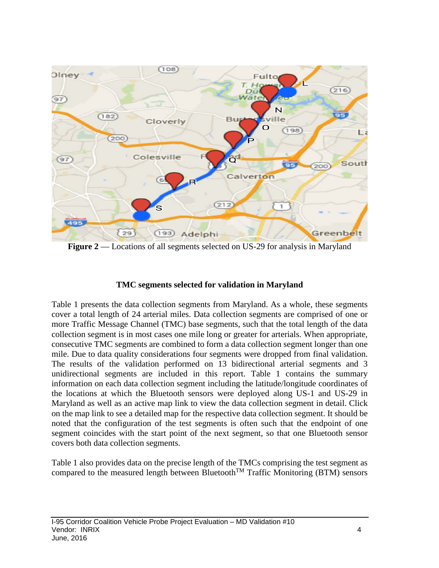

**Figure 2** –– Locations of all segments selected on US-29 for analysis in Maryland

### **TMC segments selected for validation in Maryland**

Table 1 presents the data collection segments from Maryland. As a whole, these segments cover a total length of 24 arterial miles. Data collection segments are comprised of one or more Traffic Message Channel (TMC) base segments, such that the total length of the data collection segment is in most cases one mile long or greater for arterials. When appropriate, consecutive TMC segments are combined to form a data collection segment longer than one mile. Due to data quality considerations four segments were dropped from final validation. The results of the validation performed on 13 bidirectional arterial segments and 3 unidirectional segments are included in this report. Table 1 contains the summary information on each data collection segment including the latitude/longitude coordinates of the locations at which the Bluetooth sensors were deployed along US-1 and US-29 in Maryland as well as an active map link to view the data collection segment in detail. Click on the map link to see a detailed map for the respective data collection segment. It should be noted that the configuration of the test segments is often such that the endpoint of one segment coincides with the start point of the next segment, so that one Bluetooth sensor covers both data collection segments.

Table 1 also provides data on the precise length of the TMCs comprising the test segment as compared to the measured length between Bluetooth<sup>TM</sup> Traffic Monitoring (BTM) sensors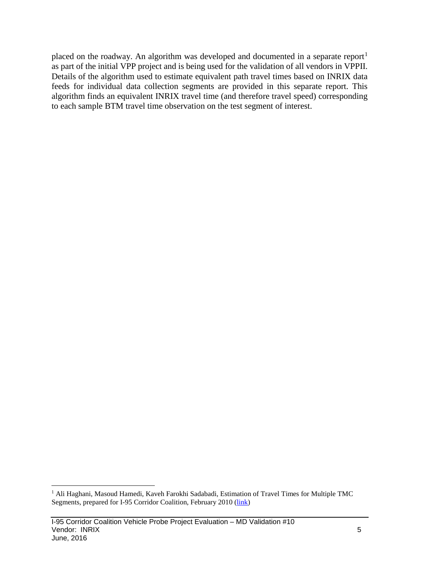placed on the roadway. An algorithm was developed and documented in a separate report<sup>[1](#page-5-0)</sup> as part of the initial VPP project and is being used for the validation of all vendors in VPPII. Details of the algorithm used to estimate equivalent path travel times based on INRIX data feeds for individual data collection segments are provided in this separate report. This algorithm finds an equivalent INRIX travel time (and therefore travel speed) corresponding to each sample BTM travel time observation on the test segment of interest.

<span id="page-5-0"></span><sup>&</sup>lt;sup>1</sup> Ali Haghani, Masoud Hamedi, Kaveh Farokhi Sadabadi, Estimation of Travel Times for Multiple TMC Segments, prepared for I-95 Corridor Coalition, February 2010 [\(link\)](http://www.i95coalition.org/wp-content/uploads/2015/02/I-95-CC-Estimation-of-Travel-Times-for-Multiple-TMC-Segments-FINAL2.pdf)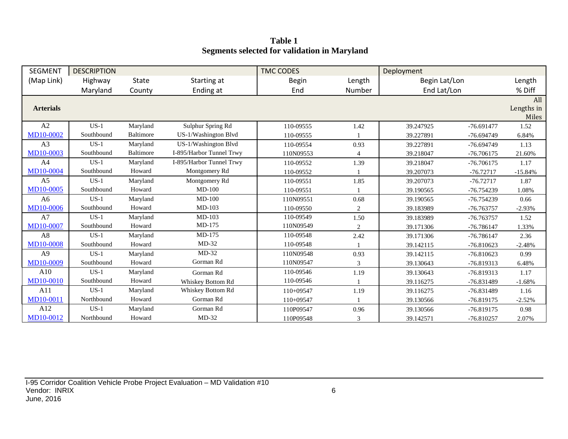**Table 1 Segments selected for validation in Maryland**

| <b>SEGMENT</b>   | <b>DESCRIPTION</b> |                  |                          | <b>TMC CODES</b> |        | Deployment    |              |                            |
|------------------|--------------------|------------------|--------------------------|------------------|--------|---------------|--------------|----------------------------|
| (Map Link)       | Highway            | <b>State</b>     | Starting at              | <b>Begin</b>     | Length | Begin Lat/Lon |              | Length                     |
|                  | Maryland           | County           | Ending at                | End              | Number | End Lat/Lon   |              | % Diff                     |
| <b>Arterials</b> |                    |                  |                          |                  |        |               |              | All<br>Lengths in<br>Miles |
| A2               | $US-1$             | Maryland         | Sulphur Spring Rd        | 110-09555        | 1.42   | 39.247925     | $-76.691477$ | 1.52                       |
| <b>MD10-0002</b> | Southbound         | <b>Baltimore</b> | US-1/Washington Blvd     | 110-09555        |        | 39.227891     | $-76.694749$ | 6.84%                      |
| A <sub>3</sub>   | $US-1$             | Maryland         | US-1/Washington Blvd     | 110-09554        | 0.93   | 39.227891     | $-76.694749$ | 1.13                       |
| MD10-0003        | Southbound         | Baltimore        | I-895/Harbor Tunnel Trwy | 110N09553        | 4      | 39.218047     | $-76.706175$ | 21.60%                     |
| A <sub>4</sub>   | $US-1$             | Maryland         | I-895/Harbor Tunnel Trwy | 110-09552        | 1.39   | 39.218047     | $-76.706175$ | 1.17                       |
| <b>MD10-0004</b> | Southbound         | Howard           | Montgomery Rd            | 110-09552        |        | 39.207073     | $-76.72717$  | $-15.84%$                  |
| A <sub>5</sub>   | $US-1$             | Maryland         | Montgomery Rd            | 110-09551        | 1.85   | 39.207073     | $-76.72717$  | 1.87                       |
| <b>MD10-0005</b> | Southbound         | Howard           | $MD-100$                 | 110-09551        |        | 39.190565     | $-76.754239$ | 1.08%                      |
| A <sub>6</sub>   | $US-1$             | Maryland         | $MD-100$                 | 110N09551        | 0.68   | 39.190565     | -76.754239   | 0.66                       |
| MD10-0006        | Southbound         | Howard           | MD-103                   | 110-09550        | 2      | 39.183989     | -76.763757   | $-2.93%$                   |
| A7               | $US-1$             | Maryland         | $MD-103$                 | 110-09549        | 1.50   | 39.183989     | $-76.763757$ | 1.52                       |
| <b>MD10-0007</b> | Southbound         | Howard           | MD-175                   | 110N09549        | 2      | 39.171306     | $-76.786147$ | 1.33%                      |
| A8               | $US-1$             | Maryland         | MD-175                   | 110-09548        | 2.42   | 39.171306     | $-76.786147$ | 2.36                       |
| MD10-0008        | Southbound         | Howard           | $MD-32$                  | 110-09548        |        | 39.142115     | $-76.810623$ | $-2.48%$                   |
| A <sub>9</sub>   | $US-1$             | Maryland         | $MD-32$                  | 110N09548        | 0.93   | 39.142115     | $-76.810623$ | 0.99                       |
| MD10-0009        | Southbound         | Howard           | Gorman Rd                | 110N09547        | 3      | 39.130643     | -76.819313   | 6.48%                      |
| A10              | $US-1$             | Maryland         | Gorman Rd                | 110-09546        | 1.19   | 39.130643     | $-76.819313$ | 1.17                       |
| MD10-0010        | Southbound         | Howard           | <b>Whiskey Bottom Rd</b> | 110-09546        |        | 39.116275     | -76.831489   | $-1.68%$                   |
| A11              | $US-1$             | Maryland         | Whiskey Bottom Rd        | $110+09547$      | 1.19   | 39.116275     | -76.831489   | 1.16                       |
| MD10-0011        | Northbound         | Howard           | Gorman Rd                | 110+09547        |        | 39.130566     | -76.819175   | $-2.52%$                   |
| A12              | $US-1$             | Maryland         | Gorman Rd                | 110P09547        | 0.96   | 39.130566     | $-76.819175$ | 0.98                       |
| MD10-0012        | Northbound         | Howard           | $MD-32$                  | 110P09548        | 3      | 39.142571     | $-76.810257$ | 2.07%                      |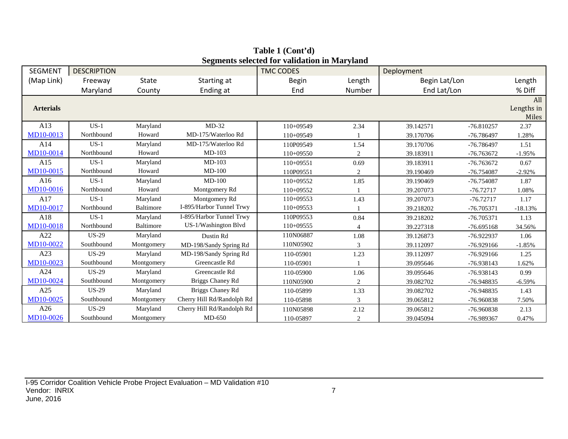| <b>SEGMENT</b>   | <b>DESCRIPTION</b> |            |                            | осдінения ясісскей тог маниаціон ні іман утани<br><b>TMC CODES</b> |        | Deployment    |              |                            |
|------------------|--------------------|------------|----------------------------|--------------------------------------------------------------------|--------|---------------|--------------|----------------------------|
| (Map Link)       | Freeway            | State      | Starting at                | <b>Begin</b>                                                       | Length | Begin Lat/Lon |              | Length                     |
|                  | Maryland           | County     | Ending at                  | End                                                                | Number | End Lat/Lon   |              | % Diff                     |
| <b>Arterials</b> |                    |            |                            |                                                                    |        |               |              | All<br>Lengths in<br>Miles |
| A13              | $US-1$             | Maryland   | $MD-32$                    | 110+09549                                                          | 2.34   | 39.142571     | $-76.810257$ | 2.37                       |
| MD10-0013        | Northbound         | Howard     | MD-175/Waterloo Rd         | $110+09549$                                                        |        | 39.170706     | -76.786497   | 1.28%                      |
| A14              | $US-1$             | Maryland   | MD-175/Waterloo Rd         | 110P09549                                                          | 1.54   | 39.170706     | $-76.786497$ | 1.51                       |
| MD10-0014        | Northbound         | Howard     | $MD-103$                   | 110+09550                                                          | 2      | 39.183911     | -76.763672   | $-1.95%$                   |
| A15              | $US-1$             | Maryland   | $MD-103$                   | $110+09551$                                                        | 0.69   | 39.183911     | $-76.763672$ | 0.67                       |
| MD10-0015        | Northbound         | Howard     | $MD-100$                   | 110P09551                                                          | 2      | 39.190469     | -76.754087   | $-2.92%$                   |
| A16              | $US-1$             | Maryland   | $MD-100$                   | 110+09552                                                          | 1.85   | 39.190469     | $-76.754087$ | 1.87                       |
| MD10-0016        | Northbound         | Howard     | Montgomery Rd              | 110+09552                                                          |        | 39.207073     | $-76.72717$  | 1.08%                      |
| A17              | $US-1$             | Maryland   | Montgomery Rd              | 110+09553                                                          | 1.43   | 39.207073     | $-76.72717$  | 1.17                       |
| MD10-0017        | Northbound         | Baltimore  | I-895/Harbor Tunnel Trwy   | $110+09553$                                                        |        | 39.218202     | $-76.705371$ | $-18.13%$                  |
| A18              | $US-1$             | Maryland   | I-895/Harbor Tunnel Trwy   | 110P09553                                                          | 0.84   | 39.218202     | $-76.705371$ | 1.13                       |
| MD10-0018        | Northbound         | Baltimore  | US-1/Washington Blvd       | $110+09555$                                                        |        | 39.227318     | $-76.695168$ | 34.56%                     |
| A22              | <b>US-29</b>       | Maryland   | Dustin Rd                  | 110N06887                                                          | 1.08   | 39.126873     | -76.922937   | 1.06                       |
| MD10-0022        | Southbound         | Montgomery | MD-198/Sandy Spring Rd     | 110N05902                                                          | 3      | 39.112097     | $-76.929166$ | $-1.85%$                   |
| A23              | <b>US-29</b>       | Maryland   | MD-198/Sandy Spring Rd     | 110-05901                                                          | 1.23   | 39.112097     | $-76.929166$ | 1.25                       |
| MD10-0023        | Southbound         | Montgomery | Greencastle Rd             | 110-05901                                                          |        | 39.095646     | -76.938143   | 1.62%                      |
| A24              | <b>US-29</b>       | Maryland   | Greencastle Rd             | 110-05900                                                          | 1.06   | 39.095646     | -76.938143   | 0.99                       |
| MD10-0024        | Southbound         | Montgomery | Briggs Chaney Rd           | 110N05900                                                          | 2      | 39.082702     | -76.948835   | $-6.59%$                   |
| A25              | <b>US-29</b>       | Maryland   | Briggs Chaney Rd           | 110-05899                                                          | 1.33   | 39.082702     | $-76.948835$ | 1.43                       |
| MD10-0025        | Southbound         | Montgomery | Cherry Hill Rd/Randolph Rd | 110-05898                                                          | 3      | 39.065812     | -76.960838   | 7.50%                      |
| A26              | <b>US-29</b>       | Maryland   | Cherry Hill Rd/Randolph Rd | 110N05898                                                          | 2.12   | 39.065812     | -76.960838   | 2.13                       |
| MD10-0026        | Southbound         | Montgomery | $MD-650$                   | 110-05897                                                          | 2      | 39.045094     | -76.989367   | 0.47%                      |

**Table 1 (Cont'd) Segments selected for validation in Maryland**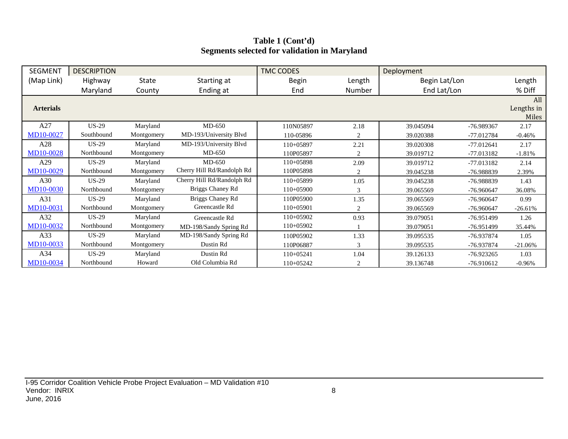# **Table 1 (Cont'd) Segments selected for validation in Maryland**

| <b>SEGMENT</b>   | <b>DESCRIPTION</b> |            |                            | <b>TMC CODES</b> |        | Deployment    |              |                   |
|------------------|--------------------|------------|----------------------------|------------------|--------|---------------|--------------|-------------------|
| (Map Link)       | Highway            | State      | Starting at                | <b>Begin</b>     | Length | Begin Lat/Lon |              | Length            |
|                  | Maryland           | County     | Ending at                  | End              | Number | End Lat/Lon   |              | % Diff            |
| <b>Arterials</b> |                    |            |                            |                  |        |               |              | All<br>Lengths in |
|                  |                    |            |                            |                  |        |               |              | Miles             |
| A27              | $US-29$            | Maryland   | $MD-650$                   | 110N05897        | 2.18   | 39.045094     | -76.989367   | 2.17              |
| MD10-0027        | Southbound         | Montgomery | MD-193/University Blvd     | 110-05896        | 2      | 39.020388     | -77.012784   | $-0.46%$          |
| A28              | $US-29$            | Maryland   | MD-193/University Blvd     | $110+05897$      | 2.21   | 39.020308     | $-77.012641$ | 2.17              |
| MD10-0028        | Northbound         | Montgomery | $MD-650$                   | 110P05897        | 2      | 39.019712     | -77.013182   | $-1.81%$          |
| A29              | $US-29$            | Maryland   | $MD-650$                   | $110+05898$      | 2.09   | 39.019712     | $-77.013182$ | 2.14              |
| MD10-0029        | Northbound         | Montgomery | Cherry Hill Rd/Randolph Rd | 110P05898        | 2      | 39.045238     | -76.988839   | 2.39%             |
| A30              | $US-29$            | Maryland   | Cherry Hill Rd/Randolph Rd | $110+05899$      | 1.05   | 39.045238     | -76.988839   | 1.43              |
| <b>MD10-0030</b> | Northbound         | Montgomery | Briggs Chaney Rd           | $110+05900$      | 3      | 39.065569     | $-76.960647$ | 36.08%            |
| A31              | $US-29$            | Maryland   | Briggs Chaney Rd           | 110P05900        | 1.35   | 39.065569     | -76.960647   | 0.99              |
| MD10-0031        | Northbound         | Montgomery | Greencastle Rd             | $110+05901$      | 2      | 39.065569     | $-76.960647$ | $-26.61%$         |
| A32              | $US-29$            | Maryland   | Greencastle Rd             | $110+05902$      | 0.93   | 39.079051     | $-76.951499$ | 1.26              |
| MD10-0032        | Northbound         | Montgomery | MD-198/Sandy Spring Rd     | $110+05902$      |        | 39.079051     | -76.951499   | 35.44%            |
| A33              | $US-29$            | Maryland   | MD-198/Sandy Spring Rd     | 110P05902        | 1.33   | 39.095535     | -76.937874   | 1.05              |
| MD10-0033        | Northbound         | Montgomery | Dustin Rd                  | 110P06887        | 3      | 39.095535     | -76.937874   | $-21.06%$         |
| A34              | $US-29$            | Maryland   | Dustin Rd                  | $110+05241$      | 1.04   | 39.126133     | $-76.923265$ | 1.03              |
| MD10-0034        | Northbound         | Howard     | Old Columbia Rd            | 110+05242        | 2      | 39.136748     | -76.910612   | $-0.96%$          |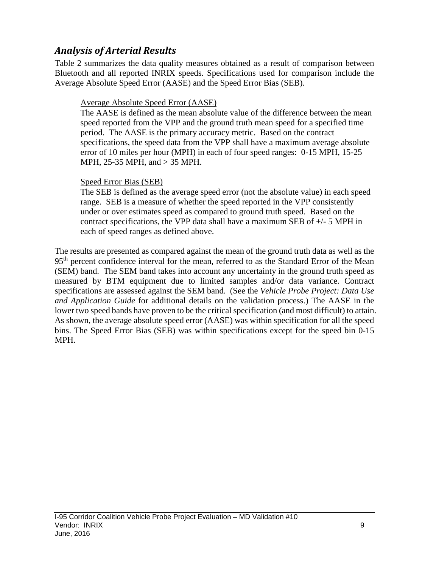# *Analysis of Arterial Results*

Table 2 summarizes the data quality measures obtained as a result of comparison between Bluetooth and all reported INRIX speeds. Specifications used for comparison include the Average Absolute Speed Error (AASE) and the Speed Error Bias (SEB).

# Average Absolute Speed Error (AASE)

The AASE is defined as the mean absolute value of the difference between the mean speed reported from the VPP and the ground truth mean speed for a specified time period. The AASE is the primary accuracy metric. Based on the contract specifications, the speed data from the VPP shall have a maximum average absolute error of 10 miles per hour (MPH) in each of four speed ranges: 0-15 MPH, 15-25 MPH, 25-35 MPH, and > 35 MPH.

## Speed Error Bias (SEB)

The SEB is defined as the average speed error (not the absolute value) in each speed range. SEB is a measure of whether the speed reported in the VPP consistently under or over estimates speed as compared to ground truth speed. Based on the contract specifications, the VPP data shall have a maximum SEB of  $+/-$  5 MPH in each of speed ranges as defined above.

The results are presented as compared against the mean of the ground truth data as well as the 95<sup>th</sup> percent confidence interval for the mean, referred to as the Standard Error of the Mean (SEM) band. The SEM band takes into account any uncertainty in the ground truth speed as measured by BTM equipment due to limited samples and/or data variance. Contract specifications are assessed against the SEM band. (See the *Vehicle Probe Project: Data Use and Application Guide* for additional details on the validation process.) The AASE in the lower two speed bands have proven to be the critical specification (and most difficult) to attain. As shown, the average absolute speed error (AASE) was within specification for all the speed bins. The Speed Error Bias (SEB) was within specifications except for the speed bin 0-15 MPH.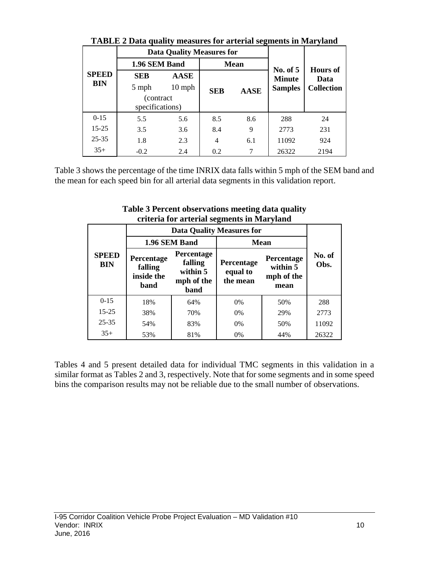|              | Triblic 2 Daia quanty incasures for arterial segments in that yianu |                                  |            |             |                             |                                              |  |  |  |  |  |  |
|--------------|---------------------------------------------------------------------|----------------------------------|------------|-------------|-----------------------------|----------------------------------------------|--|--|--|--|--|--|
|              |                                                                     | <b>Data Quality Measures for</b> |            |             |                             | <b>Hours of</b><br>Data<br><b>Collection</b> |  |  |  |  |  |  |
|              | 1.96 SEM Band                                                       |                                  |            | <b>Mean</b> |                             |                                              |  |  |  |  |  |  |
| <b>SPEED</b> | <b>SEB</b>                                                          | <b>AASE</b>                      |            |             | No. of $5$<br><b>Minute</b> |                                              |  |  |  |  |  |  |
| BIN          | 5 mph                                                               | $10$ mph                         | <b>SEB</b> | <b>AASE</b> | <b>Samples</b>              |                                              |  |  |  |  |  |  |
|              | (contract)<br>specifications)                                       |                                  |            |             |                             |                                              |  |  |  |  |  |  |
| $0-15$       | 5.5                                                                 | 5.6                              | 8.5        | 8.6         | 288                         | 24                                           |  |  |  |  |  |  |
| $15 - 25$    | 3.5                                                                 | 3.6                              | 8.4        | 9           | 2773                        | 231                                          |  |  |  |  |  |  |
| $25 - 35$    | 1.8                                                                 | 2.3                              | 4          | 6.1         | 11092                       | 924                                          |  |  |  |  |  |  |
| $35+$        | $-0.2$                                                              | 2.4                              | 0.2        | 7           | 26322                       | 2194                                         |  |  |  |  |  |  |

**TABLE 2 Data quality measures for arterial segments in Maryland**

Table 3 shows the percentage of the time INRIX data falls within 5 mph of the SEM band and the mean for each speed bin for all arterial data segments in this validation report.

|                            |                                             |                                                         | -<br><b>Data Quality Measures for</b> |                                              |                |
|----------------------------|---------------------------------------------|---------------------------------------------------------|---------------------------------------|----------------------------------------------|----------------|
|                            |                                             | 1.96 SEM Band                                           |                                       | <b>Mean</b>                                  |                |
| <b>SPEED</b><br><b>BIN</b> | Percentage<br>falling<br>inside the<br>band | Percentage<br>falling<br>within 5<br>mph of the<br>band | Percentage<br>equal to<br>the mean    | Percentage<br>within 5<br>mph of the<br>mean | No. of<br>Obs. |
| $0-15$                     | 18%                                         | 64%                                                     | 0%                                    | 50%                                          | 288            |
| $15 - 25$                  | 38%                                         | 70%                                                     | $0\%$                                 | 29%                                          | 2773           |
| $25 - 35$                  | 54%                                         | 83%                                                     | 0%                                    | 50%                                          | 11092          |
| $35+$                      | 53%                                         | 81%                                                     | 0%                                    | 44%                                          | 26322          |

**Table 3 Percent observations meeting data quality criteria for arterial segments in Maryland**

Tables 4 and 5 present detailed data for individual TMC segments in this validation in a similar format as Tables 2 and 3, respectively. Note that for some segments and in some speed bins the comparison results may not be reliable due to the small number of observations.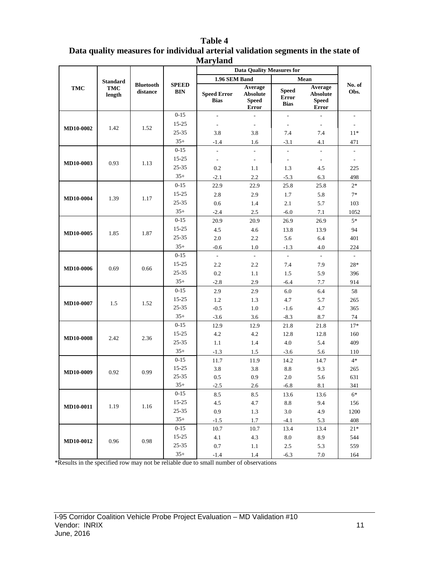| <b>Nafyranu</b><br><b>Data Quality Measures for</b> |                                         |                              |                            |                                                    |                                                            |                                             |                                                                    |                          |  |
|-----------------------------------------------------|-----------------------------------------|------------------------------|----------------------------|----------------------------------------------------|------------------------------------------------------------|---------------------------------------------|--------------------------------------------------------------------|--------------------------|--|
|                                                     |                                         |                              |                            |                                                    |                                                            |                                             |                                                                    |                          |  |
| <b>TMC</b>                                          | <b>Standard</b><br><b>TMC</b><br>length | <b>Bluetooth</b><br>distance | <b>SPEED</b><br><b>BIN</b> | 1.96 SEM Band<br><b>Speed Error</b><br><b>Bias</b> | Average<br><b>Absolute</b><br><b>Speed</b><br><b>Error</b> | <b>Speed</b><br><b>Error</b><br><b>Bias</b> | Mean<br>Average<br><b>Absolute</b><br><b>Speed</b><br><b>Error</b> | No. of<br>Obs.           |  |
|                                                     |                                         |                              | $0 - 15$                   | $\overline{a}$                                     |                                                            | L.                                          | $\overline{a}$                                                     | $\overline{\phantom{a}}$ |  |
| <b>MD10-0002</b>                                    | 1.42                                    | 1.52                         | $15 - 25$                  |                                                    | $\overline{\phantom{a}}$                                   | $\sim$                                      | $\overline{\phantom{a}}$                                           | $\sim$                   |  |
|                                                     |                                         |                              | 25-35                      | 3.8                                                | 3.8                                                        | 7.4                                         | 7.4                                                                | $11*$                    |  |
|                                                     |                                         |                              | $35+$                      | $-1.4$                                             | 1.6                                                        | $-3.1$                                      | 4.1                                                                | 471                      |  |
|                                                     |                                         |                              | $0 - 15$                   |                                                    | $\overline{a}$                                             | ÷,                                          | $\overline{a}$                                                     |                          |  |
| MD10-0003                                           | 0.93                                    | 1.13                         | $15 - 25$                  | $\overline{\phantom{a}}$                           | $\overline{\phantom{a}}$                                   | $\sim$                                      | $\overline{\phantom{a}}$                                           | $\sim$                   |  |
|                                                     |                                         |                              | 25-35                      | 0.2                                                | 1.1                                                        | 1.3                                         | 4.5                                                                | 225                      |  |
|                                                     |                                         |                              | $35+$                      | $-2.1$                                             | 2.2                                                        | $-5.3$                                      | 6.3                                                                | 498                      |  |
|                                                     |                                         |                              | $0 - 15$                   | 22.9                                               | 22.9                                                       | 25.8                                        | 25.8                                                               | $2*$                     |  |
| <b>MD10-0004</b>                                    | 1.39                                    | 1.17                         | 15-25                      | 2.8                                                | 2.9                                                        | 1.7                                         | 5.8                                                                | $7*$                     |  |
|                                                     |                                         |                              | 25-35                      | 0.6                                                | 1.4                                                        | 2.1                                         | 5.7                                                                | 103                      |  |
|                                                     |                                         |                              | $35+$                      | $-2.4$                                             | 2.5                                                        | $-6.0$                                      | 7.1                                                                | 1052                     |  |
|                                                     |                                         |                              | $0 - 15$                   | 20.9                                               | 20.9                                                       | 26.9                                        | 26.9                                                               | $5*$                     |  |
|                                                     | 1.85<br>MD10-0005                       | 1.87                         | $15 - 25$                  | 4.5                                                | 4.6                                                        | 13.8                                        | 13.9                                                               | 94                       |  |
|                                                     |                                         |                              | 25-35                      | $2.0\,$                                            | 2.2                                                        | 5.6                                         | 6.4                                                                | 401                      |  |
|                                                     |                                         |                              | $35+$                      | $-0.6$                                             | 1.0                                                        | $-1.3$                                      | 4.0                                                                | 224                      |  |
|                                                     |                                         |                              | $0 - 15$                   | $\Box$                                             | $\overline{\phantom{a}}$                                   | $\overline{\phantom{a}}$                    | $\blacksquare$                                                     | $\overline{\phantom{a}}$ |  |
| MD10-0006                                           | 0.69                                    | 0.66                         | 15-25                      | 2.2                                                | 2.2                                                        | 7.4                                         | 7.9                                                                | $28*$                    |  |
|                                                     |                                         |                              | 25-35                      | 0.2                                                | 1.1                                                        | 1.5                                         | 5.9                                                                | 396                      |  |
|                                                     |                                         |                              | $35+$                      | $-2.8$                                             | 2.9                                                        | $-6.4$                                      | 7.7                                                                | 914                      |  |
|                                                     |                                         |                              | $0 - 15$                   | 2.9                                                | 2.9                                                        | 6.0                                         | 6.4                                                                | 58                       |  |
| MD10-0007                                           | 1.5                                     | 1.52                         | 15-25                      | 1.2                                                | 1.3                                                        | 4.7                                         | 5.7                                                                | 265                      |  |
|                                                     |                                         |                              | $25 - 35$                  | $-0.5$                                             | 1.0                                                        | $-1.6$                                      | 4.7                                                                | 365                      |  |
|                                                     |                                         |                              | $35+$                      | $-3.6$                                             | 3.6                                                        | $-8.3$                                      | 8.7                                                                | 74                       |  |
|                                                     |                                         |                              | $0 - 15$                   | 12.9                                               | 12.9                                                       | 21.8                                        | 21.8                                                               | $17*$                    |  |
| <b>MD10-0008</b>                                    | 2.42                                    | 2.36                         | 15-25                      | 4.2                                                | 4.2                                                        | 12.8                                        | 12.8                                                               | 160                      |  |
|                                                     |                                         |                              | $25 - 35$                  | 1.1                                                | 1.4                                                        | 4.0                                         | 5.4                                                                | 409                      |  |
|                                                     |                                         |                              | $35+$                      | $-1.3$                                             | 1.5                                                        | $-3.6$                                      | 5.6                                                                | 110                      |  |
|                                                     |                                         |                              | $0 - 15$                   | 11.7                                               | 11.9                                                       | 14.2                                        | 14.7                                                               | $4*$                     |  |
| MD10-0009                                           | 0.92                                    | 0.99                         | 15-25                      | 3.8                                                | 3.8                                                        | $8.8\,$                                     | 9.3                                                                | 265                      |  |
|                                                     |                                         |                              | 25-35                      | 0.5                                                | 0.9                                                        | 2.0                                         | 5.6                                                                | 631                      |  |
|                                                     |                                         |                              | $35+$                      | $-2.5$                                             | 2.6                                                        | $-6.8$                                      | 8.1                                                                | 341                      |  |
|                                                     |                                         |                              | $0 - 15$                   | 8.5                                                | 8.5                                                        | 13.6                                        | 13.6                                                               | $6*$                     |  |
| MD10-0011                                           | 1.19                                    | 1.16                         | 15-25                      | 4.5                                                | 4.7                                                        | $\!\!\!\!\!8.8$                             | 9.4                                                                | 156                      |  |
|                                                     |                                         |                              | $25 - 35$                  | 0.9                                                | 1.3                                                        | 3.0                                         | 4.9                                                                | 1200                     |  |
|                                                     |                                         |                              | $35+$                      | $-1.5$                                             | 1.7                                                        | $-4.1$                                      | 5.3                                                                | 408                      |  |
|                                                     |                                         |                              | $0 - 15$                   | 10.7                                               | 10.7                                                       | 13.4                                        | 13.4                                                               | $21*$                    |  |
| MD10-0012                                           | 0.96                                    | 0.98                         | 15-25                      | 4.1                                                | 4.3                                                        | $8.0\,$                                     | 8.9                                                                | 544                      |  |
|                                                     |                                         |                              | $25 - 35$                  | 0.7                                                | 1.1                                                        | 2.5                                         | 5.3                                                                | 559                      |  |
|                                                     |                                         |                              | $35+$                      | $-1.4$                                             | 1.4                                                        | $-6.3$                                      | 7.0                                                                | 164                      |  |

#### **Table 4 Data quality measures for individual arterial validation segments in the state of Maryland**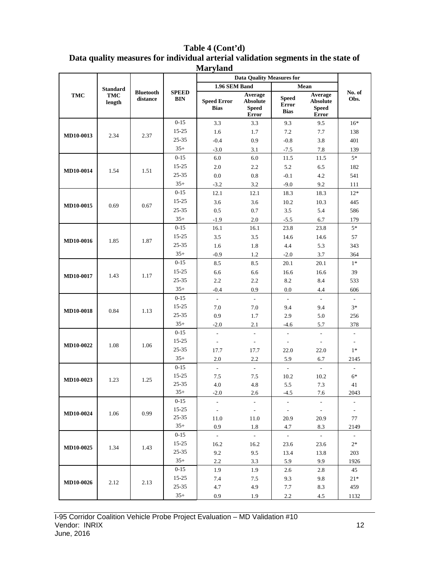## **Table 4 (Cont'd) Data quality measures for individual arterial validation segments in the state of**

| <b>Maryland</b>  |                 |                              |                            |                                   |                                                     |                                             |                                                     |                          |  |  |
|------------------|-----------------|------------------------------|----------------------------|-----------------------------------|-----------------------------------------------------|---------------------------------------------|-----------------------------------------------------|--------------------------|--|--|
|                  |                 |                              |                            |                                   | <b>Data Quality Measures for</b>                    |                                             |                                                     |                          |  |  |
|                  | <b>Standard</b> |                              |                            | 1.96 SEM Band                     |                                                     |                                             | Mean                                                |                          |  |  |
| TMC              | TMC<br>length   | <b>Bluetooth</b><br>distance | <b>SPEED</b><br><b>BIN</b> | <b>Speed Error</b><br><b>Bias</b> | Average<br><b>Absolute</b><br><b>Speed</b><br>Error | <b>Speed</b><br><b>Error</b><br><b>Bias</b> | Average<br><b>Absolute</b><br><b>Speed</b><br>Error | No. of<br>Obs.           |  |  |
|                  |                 |                              | $0 - 15$                   | 3.3                               | 3.3                                                 | 9.3                                         | 9.5                                                 | $16*$                    |  |  |
|                  |                 |                              | $15 - 25$                  | 1.6                               | 1.7                                                 | 7.2                                         | 7.7                                                 | 138                      |  |  |
| MD10-0013        | 2.34            | 2.37                         | 25-35                      | $-0.4$                            | 0.9                                                 | $-0.8$                                      | 3.8                                                 | 401                      |  |  |
|                  |                 |                              | $35+$                      | $-3.0$                            | 3.1                                                 | $-7.5$                                      | 7.8                                                 | 139                      |  |  |
|                  |                 |                              | $0 - 15$                   | 6.0                               | $6.0\,$                                             | 11.5                                        | 11.5                                                | $5*$                     |  |  |
|                  |                 |                              | $15 - 25$                  | 2.0                               | 2.2                                                 | 5.2                                         | 6.5                                                 | 182                      |  |  |
| MD10-0014        | 1.54            | 1.51                         | 25-35                      | 0.0                               | 0.8                                                 | $-0.1$                                      | 4.2                                                 | 541                      |  |  |
|                  |                 |                              | $35+$                      | $-3.2$                            | 3.2                                                 | $-9.0$                                      | 9.2                                                 | 111                      |  |  |
|                  |                 |                              | $0 - 15$                   | 12.1                              | 12.1                                                | 18.3                                        | 18.3                                                | $12*$                    |  |  |
| MD10-0015        | 0.69            | 0.67                         | $15 - 25$                  | 3.6                               | 3.6                                                 | 10.2                                        | 10.3                                                | 445                      |  |  |
|                  |                 |                              | $25 - 35$                  | 0.5                               | 0.7                                                 | $3.5$                                       | 5.4                                                 | 586                      |  |  |
|                  |                 |                              | $35+$                      | $-1.9$                            | 2.0                                                 | $-5.5$                                      | 6.7                                                 | 179                      |  |  |
|                  |                 |                              | $0 - 15$                   | 16.1                              | 16.1                                                | 23.8                                        | 23.8                                                | $5*$                     |  |  |
| MD10-0016        | 1.85            | 1.87                         | $15 - 25$                  | 3.5                               | 3.5                                                 | 14.6                                        | 14.6                                                | 57                       |  |  |
|                  |                 |                              | $25 - 35$                  | 1.6                               | 1.8                                                 | 4.4                                         | 5.3                                                 | 343                      |  |  |
|                  |                 |                              | $35+$                      | $-0.9$                            | 1.2                                                 | $-2.0$                                      | 3.7                                                 | 364                      |  |  |
|                  |                 |                              | $0 - 15$                   | 8.5                               | 8.5                                                 | 20.1                                        | 20.1                                                | $1*$                     |  |  |
| MD10-0017        | 1.43            | 1.17                         | $15 - 25$                  | 6.6                               | 6.6                                                 | 16.6                                        | 16.6                                                | 39                       |  |  |
|                  |                 |                              | 25-35                      | 2.2                               | 2.2                                                 | 8.2                                         | 8.4                                                 | 533                      |  |  |
|                  |                 |                              | $35+$                      | $-0.4$                            | 0.9                                                 | 0.0                                         | 4.4                                                 | 606                      |  |  |
|                  |                 |                              | $0 - 15$                   | $\overline{\phantom{a}}$          | $\mathbb{L}$                                        | $\bar{\phantom{a}}$                         | $\blacksquare$                                      | $\blacksquare$           |  |  |
| <b>MD10-0018</b> | 0.84            | 1.13                         | $15 - 25$                  | 7.0                               | 7.0                                                 | 9.4                                         | 9.4                                                 | $3*$                     |  |  |
|                  |                 |                              | 25-35                      | 0.9                               | 1.7                                                 | 2.9                                         | 5.0                                                 | 256                      |  |  |
|                  |                 |                              | $35+$                      | $-2.0$                            | 2.1                                                 | $-4.6$                                      | 5.7                                                 | 378                      |  |  |
|                  |                 |                              | $0-15$                     | $\overline{\phantom{a}}$          | $\overline{\phantom{a}}$                            | $\overline{\phantom{a}}$                    | $\overline{\phantom{a}}$                            | $\overline{\phantom{a}}$ |  |  |
| MD10-0022        | 1.08            | 1.06                         | $15 - 25$                  | ÷,                                | $\overline{\phantom{a}}$                            | $\overline{\phantom{a}}$                    | $\overline{\phantom{a}}$                            | $\overline{\phantom{a}}$ |  |  |
|                  |                 |                              | 25-35                      | 17.7                              | 17.7                                                | 22.0                                        | 22.0                                                | $1*$                     |  |  |
|                  |                 |                              | $35+$                      | $2.0\,$                           | 2.2                                                 | 5.9                                         | 6.7                                                 | 2145                     |  |  |
|                  |                 |                              | $0 - 15$                   | $\overline{\phantom{a}}$          | $\overline{\phantom{a}}$                            | $\sim$                                      | $\sim$                                              | $\overline{\phantom{a}}$ |  |  |
| MD10-0023        | 1.23            | 1.25                         | 15-25                      | 7.5                               | 7.5                                                 | 10.2                                        | 10.2                                                | $6*$                     |  |  |
|                  |                 |                              | 25-35                      | 4.0                               | 4.8                                                 | 5.5                                         | 7.3                                                 | 41                       |  |  |
|                  |                 |                              | $35+$                      | $-2.0$                            | 2.6                                                 | $-4.5$                                      | 7.6                                                 | 2043                     |  |  |
|                  |                 |                              | $0 - 15$                   | $\mathbf{r}$                      | $\blacksquare$                                      | $\mathcal{L}_{\mathcal{A}}$                 | $\blacksquare$                                      | $\overline{\phantom{a}}$ |  |  |
| MD10-0024        | 1.06            | 0.99                         | $15 - 25$<br>$25 - 35$     | $\mathcal{L}_{\mathcal{A}}$       | $\mathcal{L}^{\pm}$                                 | $\mathcal{L}_{\mathcal{A}}$                 | $\sim$                                              | $\blacksquare$           |  |  |
|                  |                 |                              | $35+$                      | 11.0<br>0.9                       | 11.0<br>1.8                                         | 20.9<br>4.7                                 | 20.9<br>8.3                                         | 77<br>2149               |  |  |
|                  |                 |                              | $0 - 15$                   | $\mathcal{L}^{\pm}$               | $\sim$                                              | $\sim$                                      | $\sim$                                              | $\sim$                   |  |  |
|                  |                 |                              | $15 - 25$                  | 16.2                              | 16.2                                                | 23.6                                        | 23.6                                                | $2*$                     |  |  |
| <b>MD10-0025</b> | 1.34            | 1.43                         | $25 - 35$                  | 9.2                               | 9.5                                                 | 13.4                                        | 13.8                                                | 203                      |  |  |
|                  |                 |                              | $35+$                      | 2.2                               | 3.3                                                 | 5.9                                         | 9.9                                                 | 1926                     |  |  |
|                  |                 |                              | $0 - 15$                   | 1.9                               | 1.9                                                 | 2.6                                         | 2.8                                                 | 45                       |  |  |
|                  |                 |                              | $15 - 25$                  | 7.4                               | 7.5                                                 | 9.3                                         | 9.8                                                 | $21*$                    |  |  |
| <b>MD10-0026</b> | 2.12            | 2.13                         | $25 - 35$                  | 4.7                               | 4.9                                                 | 7.7                                         | 8.3                                                 | 459                      |  |  |
|                  |                 |                              | $35+$                      | 0.9                               | 1.9                                                 | 2.2                                         | 4.5                                                 | 1132                     |  |  |
|                  |                 |                              |                            |                                   |                                                     |                                             |                                                     |                          |  |  |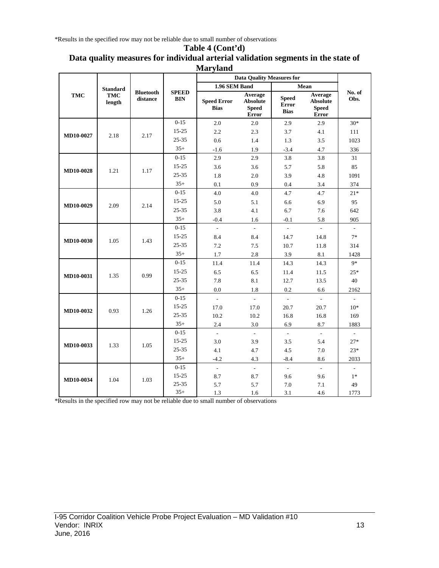\*Results in the specified row may not be reliable due to small number of observations

#### **Table 4 (Cont'd) Data quality measures for individual arterial validation segments in the state of Maryland**

|                  |                      |                              |                            |                                   | <b>Data Quality Measures for</b>             |                                             |                                                            |                          |
|------------------|----------------------|------------------------------|----------------------------|-----------------------------------|----------------------------------------------|---------------------------------------------|------------------------------------------------------------|--------------------------|
|                  | <b>Standard</b>      |                              |                            | 1.96 SEM Band                     |                                              |                                             | Mean                                                       |                          |
| <b>TMC</b>       | <b>TMC</b><br>length | <b>Bluetooth</b><br>distance | <b>SPEED</b><br><b>BIN</b> | <b>Speed Error</b><br><b>Bias</b> | Average<br>Absolute<br><b>Speed</b><br>Error | <b>Speed</b><br><b>Error</b><br><b>Bias</b> | Average<br><b>Absolute</b><br><b>Speed</b><br><b>Error</b> | No. of<br>Obs.           |
|                  |                      |                              | $0 - 15$                   | 2.0                               | 2.0                                          | 2.9                                         | 2.9                                                        | $30*$                    |
| MD10-0027        | 2.18                 | 2.17                         | $15 - 25$                  | 2.2                               | 2.3                                          | 3.7                                         | 4.1                                                        | 111                      |
|                  |                      |                              | $25 - 35$                  | 0.6                               | 1.4                                          | 1.3                                         | 3.5                                                        | 1023                     |
|                  |                      |                              | $35+$                      | $-1.6$                            | 1.9                                          | $-3.4$                                      | 4.7                                                        | 336                      |
|                  |                      |                              | $0-15$                     | 2.9                               | 2.9                                          | 3.8                                         | 3.8                                                        | 31                       |
| <b>MD10-0028</b> | 1.21                 | 1.17                         | $15 - 25$                  | 3.6                               | 3.6                                          | 5.7                                         | 5.8                                                        | 85                       |
|                  |                      |                              | $25 - 35$                  | 1.8                               | 2.0                                          | 3.9                                         | 4.8                                                        | 1091                     |
|                  |                      |                              | $35+$                      | 0.1                               | 0.9                                          | 0.4                                         | 3.4                                                        | 374                      |
|                  |                      |                              | $0 - 15$                   | 4.0                               | 4.0                                          | 4.7                                         | 4.7                                                        | $21*$                    |
| <b>MD10-0029</b> | 2.09                 | 2.14                         | $15 - 25$                  | 5.0                               | 5.1                                          | 6.6                                         | 6.9                                                        | 95                       |
|                  |                      | $25 - 35$                    | 3.8                        | 4.1                               | 6.7                                          | 7.6                                         | 642                                                        |                          |
|                  |                      |                              | $35+$                      | $-0.4$                            | 1.6                                          | $-0.1$                                      | 5.8                                                        | 905                      |
|                  |                      |                              | $0 - 15$                   | $\bar{\phantom{a}}$               | $\mathcal{L}$                                | $\omega$                                    | $\mathcal{L}^{\mathcal{A}}$                                | $\sim$                   |
| <b>MD10-0030</b> | 1.05                 | 1.43                         | $15 - 25$                  | 8.4                               | 8.4                                          | 14.7                                        | 14.8                                                       | $7*$                     |
|                  |                      |                              | $25 - 35$                  | 7.2                               | 7.5                                          | 10.7                                        | 11.8                                                       | 314                      |
|                  |                      |                              | $35+$                      | 1.7                               | 2.8                                          | 3.9                                         | 8.1                                                        | 1428                     |
|                  |                      |                              | $0 - 15$                   | 11.4                              | 11.4                                         | 14.3                                        | 14.3                                                       | $9*$                     |
| MD10-0031        | 1.35                 | 0.99                         | $15 - 25$                  | 6.5                               | 6.5                                          | 11.4                                        | 11.5                                                       | $25*$                    |
|                  |                      |                              | $25 - 35$                  | 7.8                               | 8.1                                          | 12.7                                        | 13.5                                                       | 40                       |
|                  |                      |                              | $35+$                      | 0.0                               | 1.8                                          | 0.2                                         | 6.6                                                        | 2162                     |
|                  |                      |                              | $0 - 15$                   | $\Box$                            | $\mathbb{L}$                                 | $\mathcal{L}$                               | $\mathcal{L}_{\mathcal{A}}$                                | $\mathbb{L}$             |
| MD10-0032        | 0.93                 | 1.26                         | $15 - 25$                  | 17.0                              | 17.0                                         | 20.7                                        | 20.7                                                       | $10*$                    |
|                  |                      |                              | 25-35                      | 10.2                              | 10.2                                         | 16.8                                        | 16.8                                                       | 169                      |
|                  |                      |                              | $35+$                      | 2.4                               | 3.0                                          | 6.9                                         | 8.7                                                        | 1883                     |
|                  |                      |                              | $0 - 15$                   | $\overline{\phantom{a}}$          | $\mathcal{L}$                                | $\mathcal{L}$                               | $\mathcal{L}$                                              | $\omega$                 |
| <b>MD10-0033</b> | 1.33                 | 1.05                         | $15 - 25$                  | 3.0                               | 3.9                                          | 3.5                                         | 5.4                                                        | $27*$                    |
|                  |                      |                              | 25-35                      | 4.1                               | 4.7                                          | 4.5                                         | 7.0                                                        | $23*$                    |
|                  |                      |                              | $35+$                      | $-4.2$                            | 4.3                                          | $-8.4$                                      | 8.6                                                        | 2033                     |
|                  |                      |                              | $0 - 15$                   | $\overline{\phantom{a}}$          | $\mathcal{L}^{\mathcal{L}}$                  | $\mathcal{L}$                               | $\mathcal{L}^{\mathcal{A}}$                                | $\overline{\phantom{a}}$ |
| <b>MD10-0034</b> | 1.04                 | 1.03                         | $15 - 25$                  | 8.7                               | 8.7                                          | 9.6                                         | 9.6                                                        | $1*$                     |
|                  |                      |                              | $25 - 35$                  | 5.7                               | 5.7                                          | 7.0                                         | 7.1                                                        | 49                       |
|                  |                      |                              | $35+$                      | 1.3                               | 1.6                                          | 3.1                                         | 4.6                                                        | 1773                     |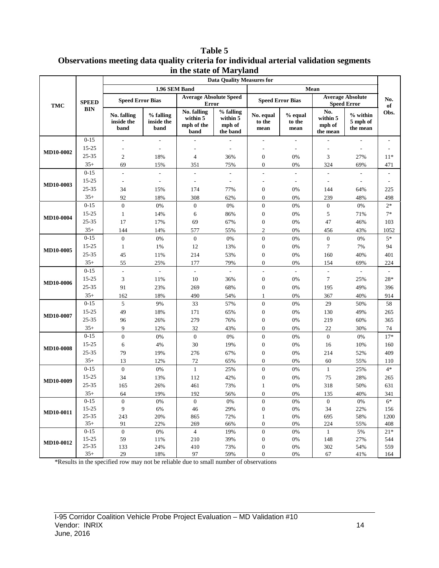**Table 5 Observations meeting data quality criteria for individual arterial validation segments in the state of Maryland**

|                  |              | <b>Data Quality Measures for</b>         |                                 |                                               |                                                          |                             |                             |                                       |                                               |           |  |  |
|------------------|--------------|------------------------------------------|---------------------------------|-----------------------------------------------|----------------------------------------------------------|-----------------------------|-----------------------------|---------------------------------------|-----------------------------------------------|-----------|--|--|
|                  |              |                                          | 1.96 SEM Band                   |                                               |                                                          |                             |                             | Mean                                  |                                               |           |  |  |
| <b>TMC</b>       | <b>SPEED</b> | <b>Speed Error Bias</b>                  |                                 | <b>Average Absolute Speed</b><br><b>Error</b> |                                                          | <b>Speed Error Bias</b>     |                             |                                       | <b>Average Absolute</b><br><b>Speed Error</b> | No.<br>of |  |  |
|                  | <b>BIN</b>   | <b>No. falling</b><br>inside the<br>band | % falling<br>inside the<br>band | No. falling<br>within 5<br>mph of the<br>band | % falling<br>within $\overline{5}$<br>mph of<br>the band | No. equal<br>to the<br>mean | $%$ equal<br>to the<br>mean | No.<br>within 5<br>mph of<br>the mean | $%$ within<br>5 mph of<br>the mean            | Obs.      |  |  |
|                  | $0 - 15$     |                                          |                                 |                                               |                                                          |                             | $\overline{\phantom{a}}$    |                                       |                                               |           |  |  |
| <b>MD10-0002</b> | 15-25        |                                          | $\sim$                          | ÷,                                            | $\overline{\phantom{a}}$                                 |                             | $\overline{\phantom{a}}$    |                                       | $\overline{\phantom{a}}$                      |           |  |  |
|                  | $25 - 35$    | $\mathbf{2}$                             | 18%                             | $\overline{4}$                                | 36%                                                      | $\boldsymbol{0}$            | 0%                          | 3                                     | 27%                                           | $11*$     |  |  |
|                  | $35+$        | 69                                       | 15%                             | 351                                           | 75%                                                      | $\boldsymbol{0}$            | 0%                          | 324                                   | 69%                                           | 471       |  |  |
|                  | $0 - 15$     | $\overline{a}$                           |                                 |                                               | ÷,                                                       | ÷,                          | $\frac{1}{2}$               |                                       |                                               |           |  |  |
| MD10-0003        | $15 - 25$    |                                          | $\overline{\phantom{a}}$        |                                               |                                                          |                             | $\overline{\phantom{a}}$    |                                       |                                               |           |  |  |
|                  | 25-35        | 34                                       | 15%                             | 174                                           | 77%                                                      | $\boldsymbol{0}$            | 0%                          | 144                                   | 64%                                           | 225       |  |  |
|                  | $35+$        | 92                                       | 18%                             | 308                                           | 62%                                                      | $\boldsymbol{0}$            | 0%                          | 239                                   | 48%                                           | 498       |  |  |
|                  | $0 - 15$     | $\mathbf{0}$                             | 0%                              | $\boldsymbol{0}$                              | $0\%$                                                    | $\boldsymbol{0}$            | 0%                          | $\boldsymbol{0}$                      | 0%                                            | $2*$      |  |  |
| <b>MD10-0004</b> | 15-25        | $\mathbf{1}$                             | 14%                             | 6                                             | 86%                                                      | $\boldsymbol{0}$            | 0%                          | 5                                     | 71%                                           | $7*$      |  |  |
|                  | 25-35        | 17                                       | 17%                             | 69                                            | 67%                                                      | $\boldsymbol{0}$            | 0%                          | 47                                    | 46%                                           | 103       |  |  |
|                  | $35+$        | 144                                      | 14%                             | 577                                           | 55%                                                      | 2                           | 0%                          | 456                                   | 43%                                           | 1052      |  |  |
|                  | $0 - 15$     | $\overline{0}$                           | $0\%$                           | $\boldsymbol{0}$                              | $0\%$                                                    | $\boldsymbol{0}$            | 0%                          | $\mathbf{0}$                          | 0%                                            | $5*$      |  |  |
| MD10-0005        | $15 - 25$    | 1                                        | 1%                              | 12                                            | 13%                                                      | $\boldsymbol{0}$            | 0%                          | $\tau$                                | 7%                                            | 94        |  |  |
|                  | 25-35        | 45                                       | 11%                             | 214                                           | 53%                                                      | $\boldsymbol{0}$            | 0%                          | 160                                   | 40%                                           | 401       |  |  |
|                  | $35+$        | 55                                       | 25%                             | 177                                           | 79%                                                      | $\boldsymbol{0}$            | 0%                          | 154                                   | 69%                                           | 224       |  |  |
|                  | $0 - 15$     | $\overline{a}$                           | $\overline{\phantom{a}}$        | $\overline{\phantom{a}}$                      | $\overline{\phantom{a}}$                                 | L,                          | $\overline{\phantom{a}}$    | $\overline{\phantom{a}}$              | $\overline{\phantom{a}}$                      |           |  |  |
|                  | 15-25        | 3                                        | 11%                             | 10                                            | 36%                                                      | $\boldsymbol{0}$            | 0%                          | $\tau$                                | 25%                                           | $28*$     |  |  |
| <b>MD10-0006</b> | 25-35        | 91                                       | 23%                             | 269                                           | 68%                                                      | $\boldsymbol{0}$            | 0%                          | 195                                   | 49%                                           | 396       |  |  |
|                  | $35+$        | 162                                      | 18%                             | 490                                           | 54%                                                      | 1                           | 0%                          | 367                                   | 40%                                           | 914       |  |  |
|                  | $0 - 15$     | 5                                        | 9%                              | 33                                            | 57%                                                      | $\boldsymbol{0}$            | 0%                          | 29                                    | 50%                                           | 58        |  |  |
| <b>MD10-0007</b> | 15-25        | 49                                       | 18%                             | 171                                           | 65%                                                      | $\boldsymbol{0}$            | 0%                          | 130                                   | 49%                                           | 265       |  |  |
|                  | 25-35        | 96                                       | 26%                             | 279                                           | 76%                                                      | $\boldsymbol{0}$            | 0%                          | 219                                   | 60%                                           | 365       |  |  |
|                  | $35+$        | 9                                        | 12%                             | 32                                            | 43%                                                      | $\boldsymbol{0}$            | 0%                          | 22                                    | 30%                                           | 74        |  |  |
|                  | $0 - 15$     | $\mathbf{0}$                             | $0\%$                           | $\boldsymbol{0}$                              | 0%                                                       | $\boldsymbol{0}$            | 0%                          | $\boldsymbol{0}$                      | 0%                                            | $17*$     |  |  |
|                  | $15 - 25$    | 6                                        | 4%                              | 30                                            | 19%                                                      | $\boldsymbol{0}$            | 0%                          | 16                                    | 10%                                           | 160       |  |  |
| <b>MD10-0008</b> | 25-35        | 79                                       | 19%                             | 276                                           | 67%                                                      | $\boldsymbol{0}$            | 0%                          | 214                                   | 52%                                           | 409       |  |  |
|                  | $35+$        | 13                                       | 12%                             | 72                                            | 65%                                                      | $\boldsymbol{0}$            | 0%                          | 60                                    | 55%                                           | 110       |  |  |
|                  | $0 - 15$     | $\overline{0}$                           | $0\%$                           | $\mathbf{1}$                                  | 25%                                                      | $\boldsymbol{0}$            | $0\%$                       | $\mathbf{1}$                          | 25%                                           | $4*$      |  |  |
|                  | $15 - 25$    | 34                                       | 13%                             | 112                                           | 42%                                                      | $\boldsymbol{0}$            | 0%                          | 75                                    | 28%                                           | 265       |  |  |
| <b>MD10-0009</b> | 25-35        | 165                                      | 26%                             | 461                                           | 73%                                                      | 1                           | 0%                          | 318                                   | 50%                                           | 631       |  |  |
|                  | $35+$        | 64                                       | 19%                             | 192                                           | 56%                                                      | 0                           | 0%                          | 135                                   | 40%                                           | 341       |  |  |
|                  | $0-15$       | $\mathbf{0}$                             | $0\%$                           | $\mathbf{0}$                                  | 0%                                                       | $\boldsymbol{0}$            | 0%                          | $\boldsymbol{0}$                      | 0%                                            | $6*$      |  |  |
| <b>MD10-0011</b> | 15-25        | 9                                        | $6\%$                           | 46                                            | 29%                                                      | $\boldsymbol{0}$            | 0%                          | 34                                    | 22%                                           | 156       |  |  |
|                  | 25-35        | 243                                      | 20%                             | 865                                           | 72%                                                      | $\mathbf{1}$                | 0%                          | 695                                   | 58%                                           | 1200      |  |  |
|                  | $35+$        | 91                                       | 22%                             | 269                                           | 66%                                                      | $\boldsymbol{0}$            | 0%                          | 224                                   | 55%                                           | 408       |  |  |
|                  | $0 - 15$     | $\mathbf{0}$                             | $0\%$                           | $\overline{4}$                                | 19%                                                      | $\boldsymbol{0}$            | $0\%$                       | $\mathbf{1}$                          | 5%                                            | $21*$     |  |  |
| <b>MD10-0012</b> | 15-25        | 59                                       | 11%                             | 210                                           | 39%                                                      | $\boldsymbol{0}$            | 0%                          | 148                                   | 27%                                           | 544       |  |  |
|                  | 25-35        | 133                                      | 24%                             | 410                                           | 73%                                                      | $\boldsymbol{0}$            | 0%                          | 302                                   | 54%                                           | 559       |  |  |
|                  | $35+$        | 29                                       | 18%                             | 97                                            | 59%                                                      | $\boldsymbol{0}$            | $0\%$                       | 67                                    | 41%                                           | 164       |  |  |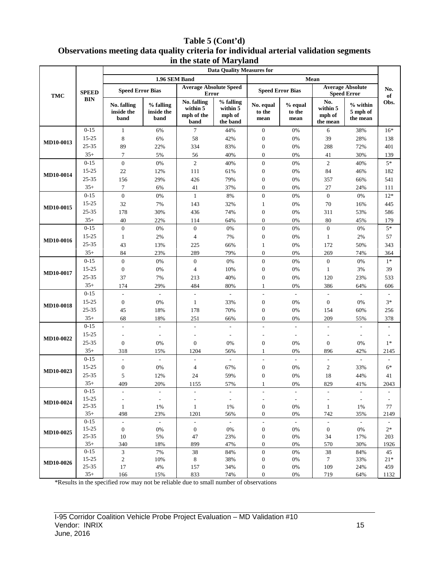## **Table 5 (Cont'd) Observations meeting data quality criteria for individual arterial validation segments in the state of Maryland**

|                  |                       | <b>Data Quality Measures for</b>             |                                 |                                               |                                             |                                              |                                   |                                              |                                               |                                  |  |  |
|------------------|-----------------------|----------------------------------------------|---------------------------------|-----------------------------------------------|---------------------------------------------|----------------------------------------------|-----------------------------------|----------------------------------------------|-----------------------------------------------|----------------------------------|--|--|
|                  |                       |                                              | 1.96 SEM Band                   |                                               |                                             |                                              |                                   | Mean                                         |                                               |                                  |  |  |
| <b>TMC</b>       | <b>SPEED</b>          | <b>Speed Error Bias</b>                      |                                 | <b>Average Absolute Speed</b><br><b>Error</b> |                                             | <b>Speed Error Bias</b>                      |                                   |                                              | <b>Average Absolute</b><br><b>Speed Error</b> | No.<br>of                        |  |  |
|                  | <b>BIN</b>            | No. falling<br>inside the<br>band            | % falling<br>inside the<br>band | No. falling<br>within 5<br>mph of the<br>band | % falling<br>within 5<br>mph of<br>the band | No. equal<br>to the<br>mean                  | $%$ equal<br>to the<br>mean       | No.<br>within 5<br>mph of<br>the mean        | $%$ within<br>5 mph of<br>the mean            | Obs.                             |  |  |
|                  | $0 - 15$              | $\mathbf{1}$                                 | 6%                              | $\tau$                                        | 44%                                         | $\boldsymbol{0}$                             | $0\%$                             | 6                                            | 38%                                           | $16*$                            |  |  |
| MD10-0013        | $15 - 25$             | 8                                            | 6%                              | 58                                            | 42%                                         | $\boldsymbol{0}$                             | 0%                                | 39                                           | 28%                                           | 138                              |  |  |
|                  | 25-35                 | 89                                           | 22%                             | 334                                           | 83%                                         | $\boldsymbol{0}$                             | $0\%$                             | 288                                          | 72%                                           | 401                              |  |  |
|                  | $35+$                 | 7                                            | 5%                              | 56                                            | 40%                                         | $\boldsymbol{0}$                             | 0%                                | 41                                           | 30%                                           | 139                              |  |  |
|                  | $0 - 15$              | $\mathbf{0}$                                 | $0\%$                           | $\mathfrak{2}$                                | 40%                                         | $\boldsymbol{0}$                             | 0%                                | $\overline{c}$                               | 40%                                           | $5*$                             |  |  |
| <b>MD10-0014</b> | 15-25                 | 22                                           | 12%                             | 111                                           | 61%                                         | $\boldsymbol{0}$                             | $0\%$                             | 84                                           | 46%                                           | 182                              |  |  |
|                  | 25-35                 | 156                                          | 29%                             | 426                                           | 79%                                         | $\boldsymbol{0}$                             | $0\%$                             | 357                                          | 66%                                           | 541                              |  |  |
|                  | $35+$                 | $\tau$                                       | 6%                              | 41                                            | 37%                                         | $\boldsymbol{0}$                             | $0\%$                             | 27                                           | 24%                                           | 111                              |  |  |
|                  | $0 - 15$              | $\overline{0}$                               | $0\%$                           | $\mathbf{1}$                                  | $8\%$                                       | $\boldsymbol{0}$                             | $0\%$                             | $\boldsymbol{0}$                             | 0%                                            | $12*$                            |  |  |
| MD10-0015        | 15-25                 | 32                                           | 7%                              | 143                                           | 32%                                         | $\mathbf{1}$                                 | $0\%$                             | 70                                           | 16%                                           | 445                              |  |  |
|                  | 25-35                 | 178                                          | 30%                             | 436                                           | 74%                                         | $\boldsymbol{0}$                             | $0\%$                             | 311                                          | 53%                                           | 586                              |  |  |
|                  | $35+$                 | 40                                           | 22%                             | 114                                           | 64%                                         | $\boldsymbol{0}$                             | 0%                                | 80                                           | 45%                                           | 179                              |  |  |
|                  | $0 - 15$              | $\mathbf{0}$                                 | $0\%$                           | $\mathbf{0}$                                  | 0%                                          | $\boldsymbol{0}$                             | 0%                                | $\boldsymbol{0}$                             | 0%                                            | $5^*$                            |  |  |
| MD10-0016        | 15-25                 | $\mathbf{1}$                                 | 2%                              | $\overline{4}$                                | 7%                                          | $\boldsymbol{0}$                             | $0\%$                             | $\mathbf{1}$                                 | 2%                                            | 57                               |  |  |
|                  | 25-35                 | 43                                           | 13%                             | 225                                           | 66%                                         | $\mathbf{1}$                                 | $0\%$                             | 172                                          | 50%                                           | 343                              |  |  |
|                  | $35+$                 | 84                                           | 23%                             | 289                                           | 79%                                         | $\boldsymbol{0}$                             | $0\%$                             | 269                                          | 74%                                           | 364                              |  |  |
| MD10-0017        | $0 - 15$              | $\boldsymbol{0}$                             | $0\%$                           | $\boldsymbol{0}$                              | 0%                                          | $\boldsymbol{0}$                             | 0%                                | $\boldsymbol{0}$                             | 0%                                            | $1*$                             |  |  |
|                  | 15-25                 | $\boldsymbol{0}$                             | $0\%$                           | $\overline{4}$                                | 10%                                         | $\boldsymbol{0}$                             | $0\%$                             | $\mathbf{1}$                                 | 3%                                            | 39                               |  |  |
|                  | 25-35                 | 37                                           | 7%                              | 213                                           | 40%                                         | $\boldsymbol{0}$                             | 0%                                | 120                                          | 23%                                           | 533                              |  |  |
|                  | $35+$                 | 174                                          | 29%                             | 484                                           | 80%                                         | $\mathbf{1}$                                 | 0%                                | 386                                          | 64%                                           | 606                              |  |  |
|                  | $0 - 15$              | $\overline{a}$                               | $\mathcal{L}$                   | $\overline{a}$                                | $\mathcal{L}^{\mathcal{L}}$                 | $\overline{\phantom{a}}$                     | $\mathcal{L}$                     | $\mathcal{L}_{\mathcal{A}}$                  | $\mathcal{L}$                                 |                                  |  |  |
| MD10-0018        | 15-25                 | $\mathbf{0}$                                 | 0%                              | $\mathbf{1}$                                  | 33%                                         | $\boldsymbol{0}$                             | 0%                                | $\boldsymbol{0}$                             | 0%                                            | $3*$                             |  |  |
|                  | 25-35                 | 45                                           | 18%                             | 178                                           | 70%                                         | $\boldsymbol{0}$                             | 0%                                | 154                                          | 60%                                           | 256                              |  |  |
|                  | $35+$                 | 68                                           | 18%                             | 251                                           | 66%                                         | $\overline{0}$                               | 0%                                | 209                                          | 55%                                           | 378                              |  |  |
|                  | $0 - 15$              | $\overline{a}$                               | $\overline{\phantom{a}}$        | $\overline{\phantom{a}}$                      | $\sim$                                      | $\sim$                                       | $\mathcal{L}$                     |                                              | $\sim$                                        |                                  |  |  |
| <b>MD10-0022</b> | 15-25                 |                                              | $\overline{\phantom{a}}$        |                                               |                                             | $\sim$                                       | $\sim$                            |                                              |                                               |                                  |  |  |
|                  | 25-35                 | $\theta$                                     | 0%                              | $\mathbf{0}$                                  | 0%                                          | $\boldsymbol{0}$                             | 0%                                | $\boldsymbol{0}$                             | 0%                                            | $1*$                             |  |  |
|                  | $35+$                 | 318                                          | 15%                             | 1204                                          | 56%                                         | $\mathbf{1}$                                 | 0%                                | 896                                          | 42%                                           | 2145                             |  |  |
|                  | $0 - 15$              |                                              |                                 |                                               | L.                                          |                                              |                                   |                                              |                                               |                                  |  |  |
| MD10-0023        | 15-25                 | $\boldsymbol{0}$                             | 0%                              | 4                                             | 67%                                         | $\boldsymbol{0}$                             | 0%                                | $\overline{c}$                               | 33%                                           | $6*$                             |  |  |
|                  | 25-35                 | 5                                            | 12%                             | 24                                            | 59%                                         | $\boldsymbol{0}$                             | 0%                                | 18                                           | 44%                                           | 41                               |  |  |
|                  | $35+$                 | 409                                          | 20%                             | 1155                                          | 57%                                         |                                              | $0\%$                             | 829                                          | 41%                                           | 2043                             |  |  |
|                  | $0-15$                |                                              | $\overline{\phantom{a}}$        | $\sim$                                        | $\overline{\phantom{a}}$                    | $\overline{\phantom{a}}$                     | $\overline{\phantom{a}}$          | ÷,                                           | $\overline{\phantom{a}}$                      |                                  |  |  |
| MD10-0024        | $15 - 25$             |                                              | $\overline{\phantom{a}}$        |                                               | $\overline{\phantom{a}}$                    | $\overline{\phantom{a}}$                     | $\overline{\phantom{a}}$          |                                              | $\overline{\phantom{a}}$                      |                                  |  |  |
|                  | 25-35                 | $\mathbf{1}$                                 | 1%                              | $\mathbf{1}$                                  | 1%                                          | $\boldsymbol{0}$                             | $0\%$                             | $\mathbf{1}$                                 | 1%                                            | 77                               |  |  |
|                  | $35+$                 | 498                                          | 23%                             | 1201                                          | 56%                                         | $\boldsymbol{0}$                             | $0\%$                             | 742                                          | 35%                                           | 2149                             |  |  |
|                  | $0 - 15$<br>$15 - 25$ | $\overline{\phantom{a}}$<br>$\boldsymbol{0}$ | $\mathcal{L}$<br>$0\%$          | $\overline{\phantom{a}}$<br>$\boldsymbol{0}$  | $\mathcal{L}$<br>0%                         | $\overline{\phantom{a}}$<br>$\boldsymbol{0}$ | $\overline{\phantom{a}}$<br>$0\%$ | $\overline{\phantom{a}}$<br>$\boldsymbol{0}$ | $\mathcal{L}$<br>0%                           | $\overline{\phantom{a}}$<br>$2*$ |  |  |
| MD10-0025        | 25-35                 | 10                                           | 5%                              | 47                                            | 23%                                         | $\boldsymbol{0}$                             | $0\%$                             | 34                                           | 17%                                           | 203                              |  |  |
|                  | $35+$                 | 340                                          | 18%                             | 899                                           | 47%                                         | $\boldsymbol{0}$                             | $0\%$                             | 570                                          | 30%                                           | 1926                             |  |  |
|                  | $0 - 15$              | $\mathfrak{Z}$                               | 7%                              | 38                                            | 84%                                         | $\boldsymbol{0}$                             | $0\%$                             | 38                                           | 84%                                           | 45                               |  |  |
|                  | 15-25                 | $\sqrt{2}$                                   | 10%                             | 8                                             | 38%                                         | $\boldsymbol{0}$                             | $0\%$                             | $\tau$                                       | 33%                                           | $21*$                            |  |  |
| MD10-0026        | 25-35                 | 17                                           | $4\%$                           | 157                                           | 34%                                         | $\boldsymbol{0}$                             | $0\%$                             | 109                                          | 24%                                           | 459                              |  |  |
|                  | $35+$                 | 166                                          | 15%                             | 833                                           | 74%                                         | $\boldsymbol{0}$                             | $0\%$                             | 719                                          | 64%                                           | 1132                             |  |  |
|                  |                       |                                              |                                 |                                               |                                             |                                              |                                   |                                              |                                               |                                  |  |  |